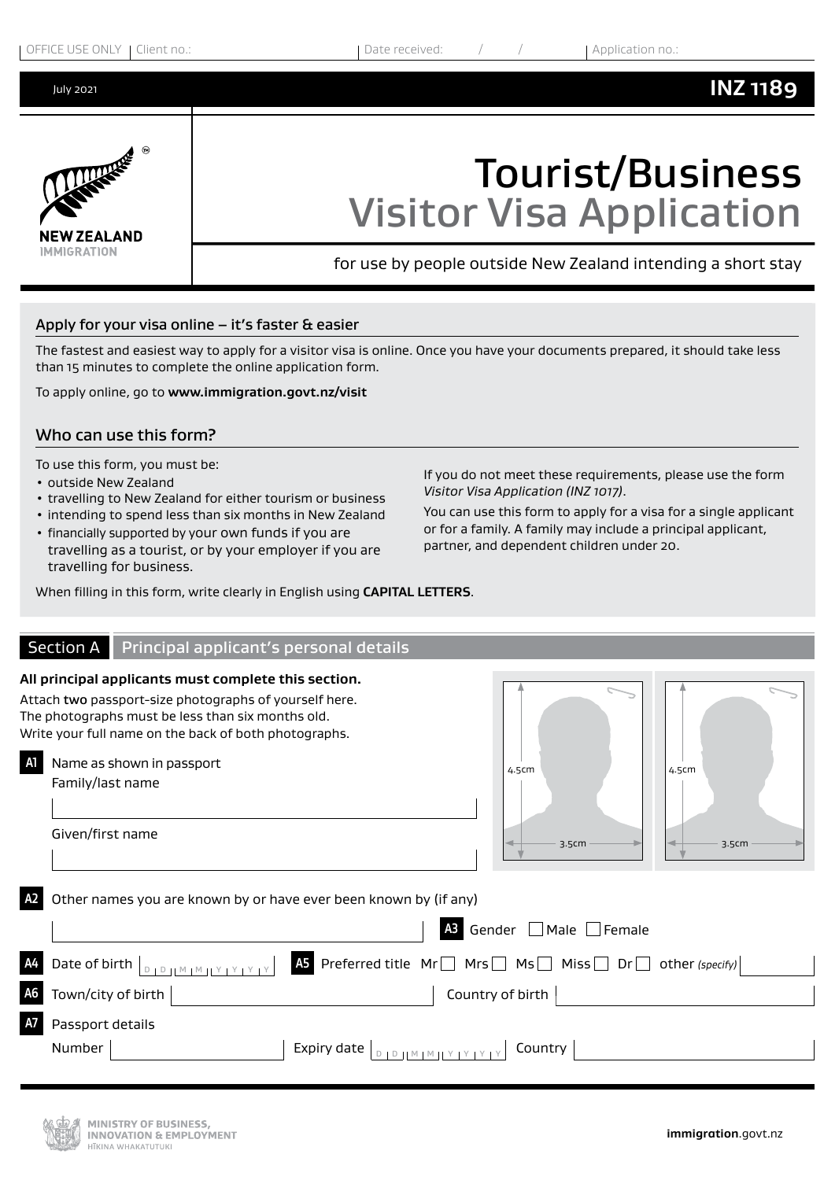July 2021

# **INZ 1189**



# Tourist/Business Visitor Visa Application

for use by people outside New Zealand intending a short stay

#### Apply for your visa online – it's faster & easier

The fastest and easiest way to apply for a visitor visa is online. Once you have your documents prepared, it should take less than 15 minutes to complete the online application form.

To apply online, go to **www.immigration.govt.nz/visit**

#### Who can use this form?

To use this form, you must be:

- outside New Zealand
- travelling to New Zealand for either tourism or business
- intending to spend less than six months in New Zealand
- financially supported by your own funds if you are travelling as a tourist, or by your employer if you are travelling for business.

If you do not meet these requirements, please use the form *Visitor Visa Application (INZ 1017)*.

You can use this form to apply for a visa for a single applicant or for a family. A family may include a principal applicant, partner, and dependent children under 20.

When filling in this form, write clearly in English using **CAPITAL LETTERS**.

|                | Section A                  | Principal applicant's personal details                                                                                                                                                                                       |                                         |                                 |                                  |                 |  |
|----------------|----------------------------|------------------------------------------------------------------------------------------------------------------------------------------------------------------------------------------------------------------------------|-----------------------------------------|---------------------------------|----------------------------------|-----------------|--|
|                |                            | All principal applicants must complete this section.<br>Attach two passport-size photographs of yourself here.<br>The photographs must be less than six months old.<br>Write your full name on the back of both photographs. |                                         |                                 |                                  |                 |  |
| A1             | Family/last name           | Name as shown in passport                                                                                                                                                                                                    |                                         |                                 | 4.5cm                            | 4.5cm           |  |
|                | Given/first name           |                                                                                                                                                                                                                              |                                         |                                 | 3.5cm                            | 3.5cm           |  |
| A2             |                            | Other names you are known by or have ever been known by (if any)                                                                                                                                                             |                                         |                                 | Gender $\Box$ Male $\Box$ Female |                 |  |
| A <sub>4</sub> |                            | Date of birth $\vert_{\text{DIPHMMIY}}$                                                                                                                                                                                      | AS Preferred title Mr Mrs Ms Ms Miss Dr |                                 |                                  | other (specify) |  |
| <b>A6</b>      | Town/city of birth         |                                                                                                                                                                                                                              |                                         |                                 | Country of birth                 |                 |  |
| A7             | Passport details<br>Number |                                                                                                                                                                                                                              | Expiry date                             | $D + D + M + M + Y + Y + Y + Y$ | Country                          |                 |  |

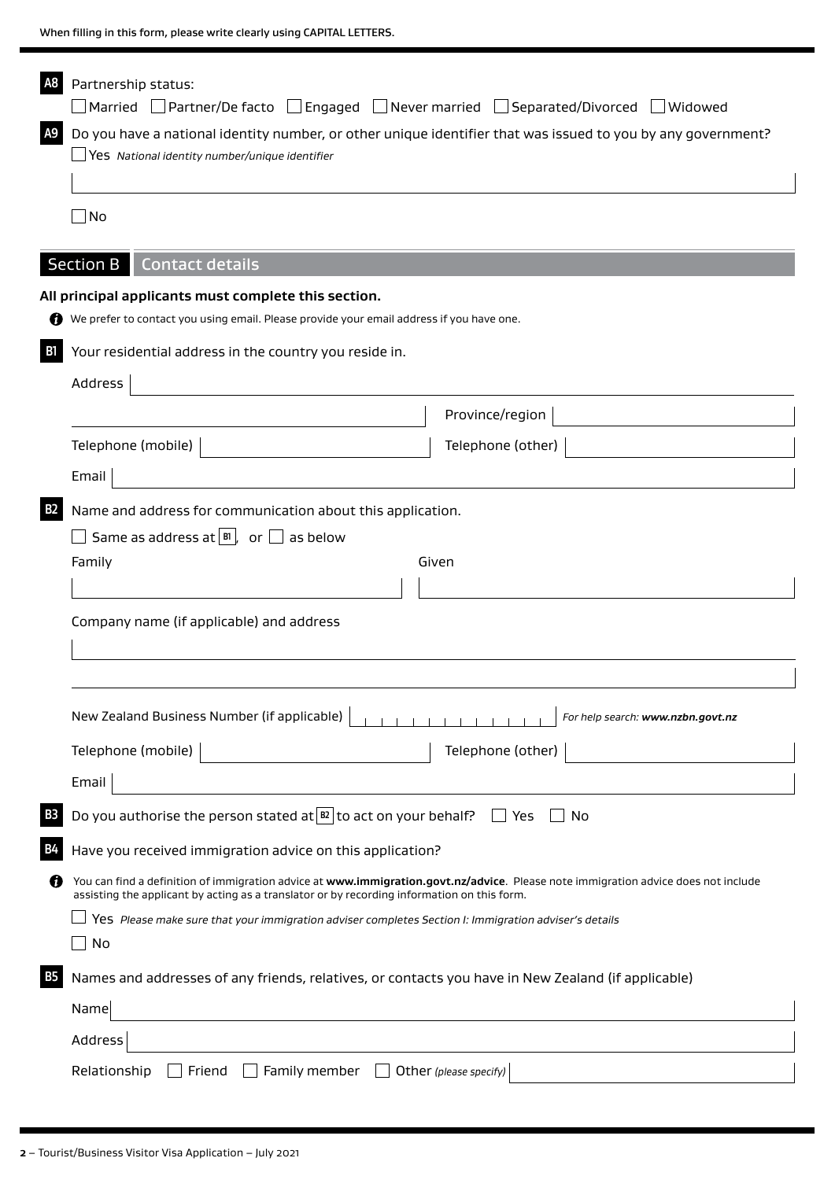|                                                                                                                                                                                  | $\Box$ Married $\quad \Box$ Partner/De facto $\quad \Box$ Engaged $\quad \Box$ Never married $\quad \Box$ Separated/Divorced $\quad \Box$ Widowed                                                                                 |  |
|----------------------------------------------------------------------------------------------------------------------------------------------------------------------------------|-----------------------------------------------------------------------------------------------------------------------------------------------------------------------------------------------------------------------------------|--|
| A <sub>9</sub><br>Do you have a national identity number, or other unique identifier that was issued to you by any government?<br>Yes National identity number/unique identifier |                                                                                                                                                                                                                                   |  |
|                                                                                                                                                                                  |                                                                                                                                                                                                                                   |  |
| $\Box$ No                                                                                                                                                                        |                                                                                                                                                                                                                                   |  |
|                                                                                                                                                                                  |                                                                                                                                                                                                                                   |  |
| <b>Section B</b><br><b>Contact details</b>                                                                                                                                       |                                                                                                                                                                                                                                   |  |
| All principal applicants must complete this section.                                                                                                                             | We prefer to contact you using email. Please provide your email address if you have one.                                                                                                                                          |  |
| Your residential address in the country you reside in.                                                                                                                           |                                                                                                                                                                                                                                   |  |
| Address                                                                                                                                                                          |                                                                                                                                                                                                                                   |  |
|                                                                                                                                                                                  | Province/region                                                                                                                                                                                                                   |  |
| Telephone (mobile)                                                                                                                                                               | Telephone (other)                                                                                                                                                                                                                 |  |
| Email                                                                                                                                                                            |                                                                                                                                                                                                                                   |  |
|                                                                                                                                                                                  |                                                                                                                                                                                                                                   |  |
| <b>B2</b><br>Name and address for communication about this application.<br>Same as address at $ B $ , or $\Box$ as below<br>Given                                                |                                                                                                                                                                                                                                   |  |
|                                                                                                                                                                                  |                                                                                                                                                                                                                                   |  |
| Company name (if applicable) and address                                                                                                                                         |                                                                                                                                                                                                                                   |  |
|                                                                                                                                                                                  |                                                                                                                                                                                                                                   |  |
|                                                                                                                                                                                  |                                                                                                                                                                                                                                   |  |
| New Zealand Business Number (if applicable)                                                                                                                                      | For help search: www.nzbn.govt.nz                                                                                                                                                                                                 |  |
| Telephone (mobile)                                                                                                                                                               | Telephone (other)                                                                                                                                                                                                                 |  |
| Email                                                                                                                                                                            |                                                                                                                                                                                                                                   |  |
|                                                                                                                                                                                  | Do you authorise the person stated at $\boxed{B2}$ to act on your behalf? $\boxed{\phantom{B2}}$ Yes<br>No                                                                                                                        |  |
| Have you received immigration advice on this application?                                                                                                                        |                                                                                                                                                                                                                                   |  |
|                                                                                                                                                                                  | You can find a definition of immigration advice at www.immigration.govt.nz/advice. Please note immigration advice does not include<br>assisting the applicant by acting as a translator or by recording information on this form. |  |
|                                                                                                                                                                                  | Yes Please make sure that your immigration adviser completes Section I: Immigration adviser's details                                                                                                                             |  |
|                                                                                                                                                                                  |                                                                                                                                                                                                                                   |  |
| No                                                                                                                                                                               |                                                                                                                                                                                                                                   |  |
|                                                                                                                                                                                  | Names and addresses of any friends, relatives, or contacts you have in New Zealand (if applicable)                                                                                                                                |  |
| Name                                                                                                                                                                             | <u> 1989 - Johann Barn, amerikansk politiker (d. 1989)</u>                                                                                                                                                                        |  |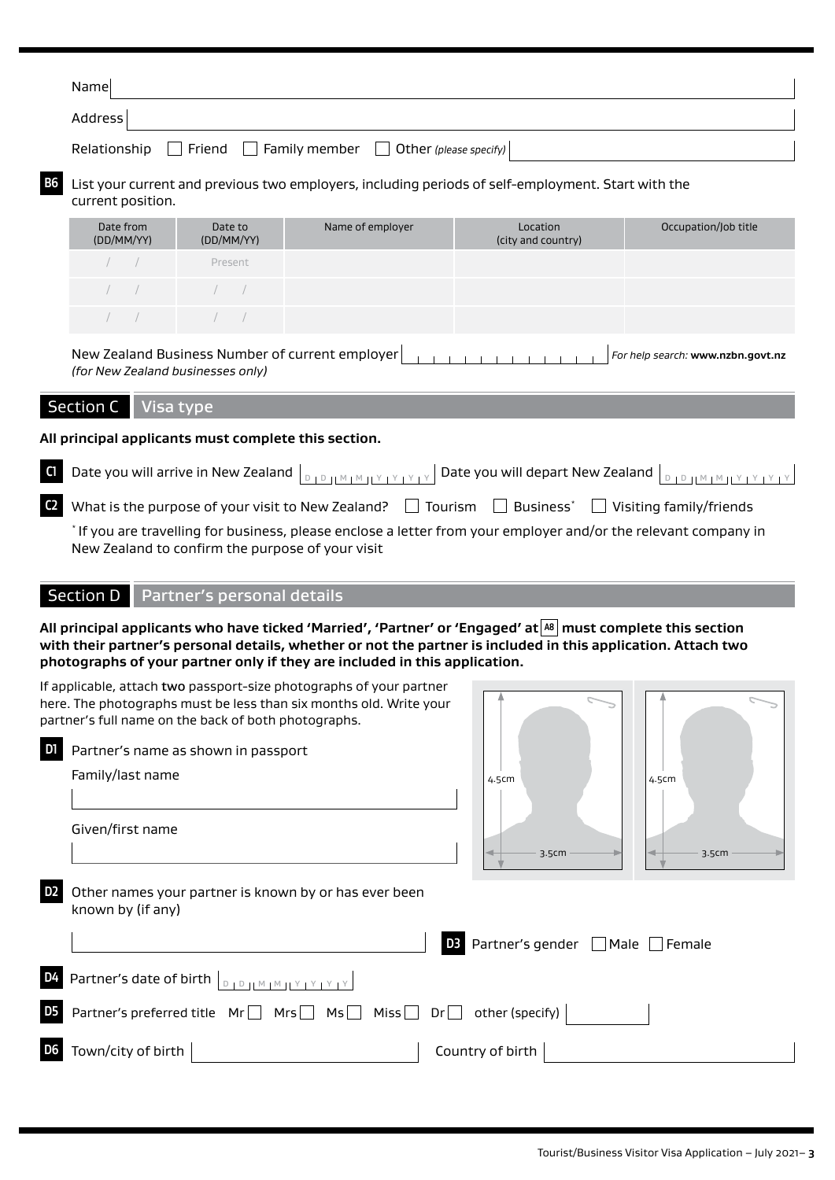| Name                                                                          |  |
|-------------------------------------------------------------------------------|--|
| Address                                                                       |  |
| Relationship $\Box$ Friend $\Box$ Family member $\Box$ Other (please specify) |  |

#### **B6** List your current and previous two employers, including periods of self-employment. Start with the current position.

| Date from<br>(DD/MM/YY) | Date to<br>(DD/MM/YY)                            | Name of employer | Location<br>(city and country) | Occupation/Job title |
|-------------------------|--------------------------------------------------|------------------|--------------------------------|----------------------|
| $\sqrt{2}$              | Present                                          |                  |                                |                      |
|                         | $\left( \begin{array}{cccc} \end{array} \right)$ |                  |                                |                      |
| $\sqrt{2}$              | $\sqrt{2}$                                       |                  |                                |                      |

New Zealand Business Number of current employer *For help search:* **www.nzbn.govt.nz** *(for New Zealand businesses only)*

#### Section C | Visa type

**All principal applicants must complete this section.**

| $\bullet$ What is the purpose of your visit to New Zealand? $\Box$ Tourism $\Box$ Business <sup>*</sup> $\Box$ Visiting family/friends |  |  |  |
|----------------------------------------------------------------------------------------------------------------------------------------|--|--|--|

\* If you are travelling for business, please enclose a letter from your employer and/or the relevant company in New Zealand to confirm the purpose of your visit

#### Section D | Partner's personal details

**All principal applicants who have ticked 'Married', 'Partner' or 'Engaged' at A8 must complete this section with their partner's personal details, whether or not the partner is included in this application. Attach two photographs of your partner only if they are included in this application.**

|                | If applicable, attach two passport-size photographs of your partner<br>here. The photographs must be less than six months old. Write your<br>partner's full name on the back of both photographs. |                                                      |       |
|----------------|---------------------------------------------------------------------------------------------------------------------------------------------------------------------------------------------------|------------------------------------------------------|-------|
|                | Partner's name as shown in passport                                                                                                                                                               |                                                      |       |
|                | Family/last name                                                                                                                                                                                  | 4.5cm                                                | 4.5cm |
|                |                                                                                                                                                                                                   |                                                      |       |
|                | Given/first name                                                                                                                                                                                  |                                                      |       |
|                |                                                                                                                                                                                                   | 3.5cm                                                | 3.5cm |
|                | Other names your partner is known by or has ever been<br>known by (if any)                                                                                                                        |                                                      |       |
|                |                                                                                                                                                                                                   | <b>D3</b> Partner's gender $\Box$ Male $\Box$ Female |       |
| D <sub>4</sub> | Partner's date of birth $\Big _{\text{D} \parallel \text{D} \parallel \text{M} \parallel \text{M} \parallel \text{Y} \parallel \text{Y} \parallel \text{Y} \parallel \text{Y}}$                   |                                                      |       |
|                | Partner's preferred title $Mr \Box Mrs \Box Mis \Box Nis \Box$ Dr $\Box$ other (specify)                                                                                                          |                                                      |       |
|                | Town/city of birth                                                                                                                                                                                | Country of birth                                     |       |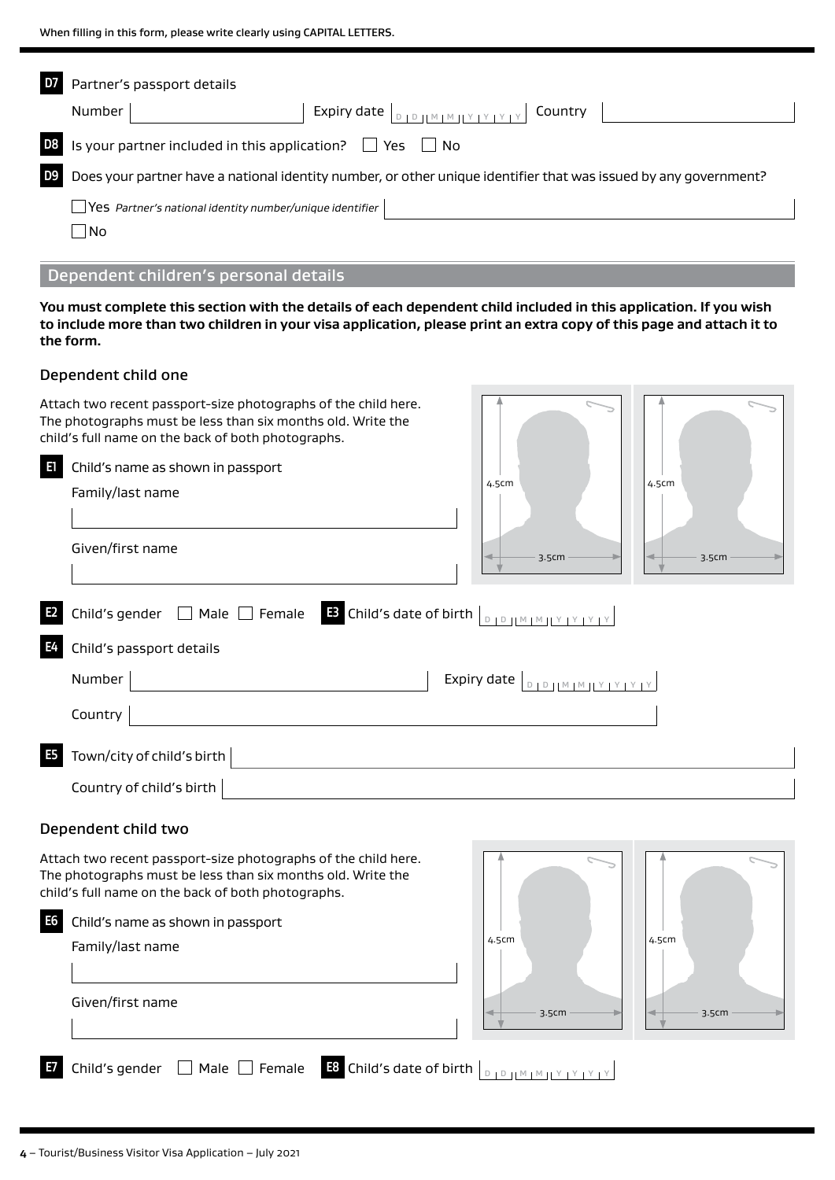|                | Partner's passport details                                                                                       |
|----------------|------------------------------------------------------------------------------------------------------------------|
|                | Expiry date $ _{\text{DIDHMIMITYAYAY}}$ Country<br><b>Number</b>                                                 |
| D <sub>8</sub> | Is your partner included in this application? $\Box$ Yes $\Box$ No                                               |
|                | Does your partner have a national identity number, or other unique identifier that was issued by any government? |
|                | $\blacksquare$ Yes Partner's national identity number/unique identifier                                          |
|                | ∣No                                                                                                              |

#### Dependent children's personal details

**You must complete this section with the details of each dependent child included in this application. If you wish to include more than two children in your visa application, please print an extra copy of this page and attach it to the form.**

#### Dependent child one

| Attach two recent passport-size photographs of the child here.<br>The photographs must be less than six months old. Write the<br>child's full name on the back of both photographs. |       |       |
|-------------------------------------------------------------------------------------------------------------------------------------------------------------------------------------|-------|-------|
| E<br>Child's name as shown in passport<br>Family/last name                                                                                                                          | 4.5cm | 4.5cm |
| Given/first name                                                                                                                                                                    | 3.5cm | 3.5cm |
| Child's gender $\Box$ Male $\Box$ Female $\Box$ Child's date of birth $\Box$<br>E <sub>2</sub>                                                                                      |       |       |
| E4<br>Child's passport details                                                                                                                                                      |       |       |
| Number                                                                                                                                                                              |       |       |
| Country                                                                                                                                                                             |       |       |
| <b>E5</b><br>Town/city of child's birth                                                                                                                                             |       |       |
| Country of child's birth                                                                                                                                                            |       |       |
| Dependent child two                                                                                                                                                                 |       |       |
| Attach two recent passport-size photographs of the child here                                                                                                                       |       |       |

ht passport-size pnotograp The photographs must be less than six months old. Write the child's full name on the back of both photographs. **E6** Child's name as shown in passport Family/last name Given/first name **E7** Child's gender Male Female **E8** Child's date of birth <sup>D</sup> <sup>D</sup> <sup>M</sup> <sup>M</sup> <sup>Y</sup> <sup>Y</sup> <sup>Y</sup> <sup>Y</sup> 4.5cm  $3.5cm$   $\rightarrow$   $\rightarrow$  3.5cm  $4.5cm$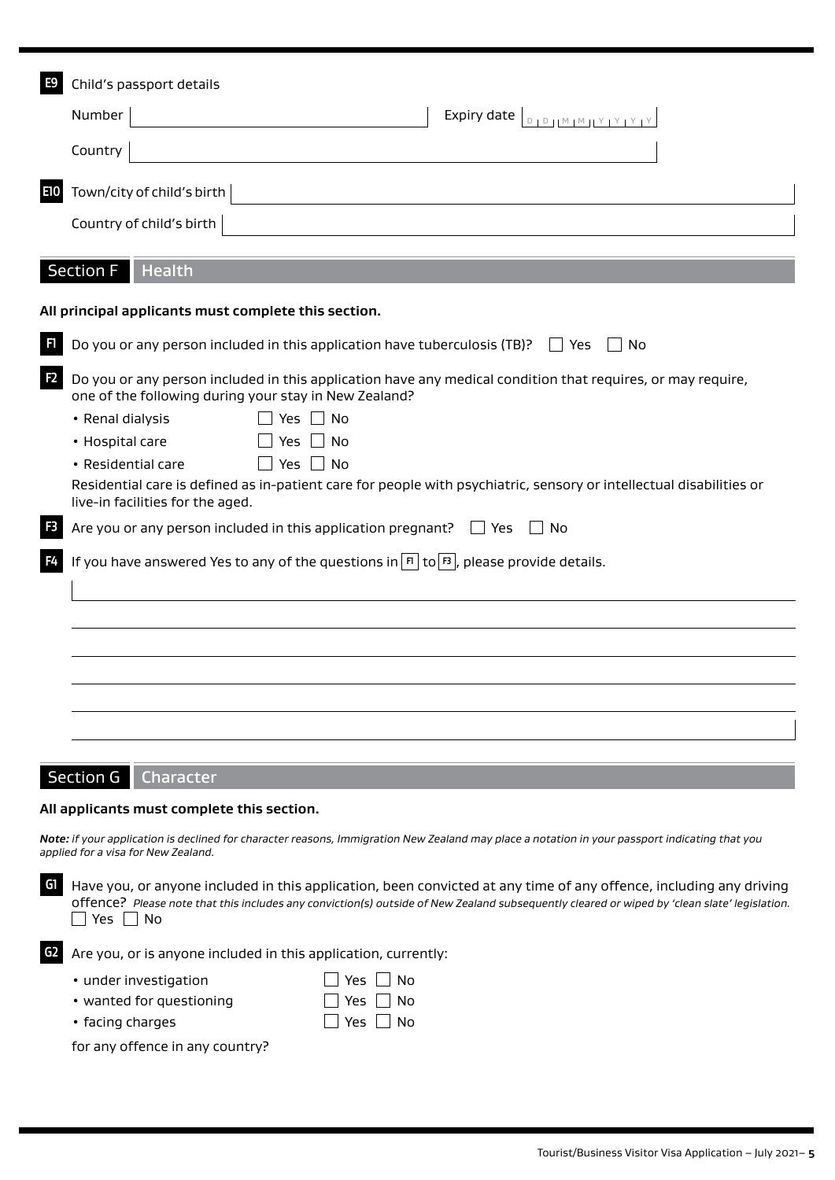| E9             | Child's passport details                                                                                                                                                                                                                                                         |
|----------------|----------------------------------------------------------------------------------------------------------------------------------------------------------------------------------------------------------------------------------------------------------------------------------|
|                | Number<br>Expiry date $\left\lfloor \frac{D}{D} \right\rfloor \left\lfloor \frac{M}{M} \right\rfloor \left\lfloor \frac{Y}{Y} \right\rfloor \left\lfloor \frac{Y}{Y} \right\rfloor$                                                                                              |
|                | Country                                                                                                                                                                                                                                                                          |
| E10            | Town/city of child's birth                                                                                                                                                                                                                                                       |
|                | Country of child's birth                                                                                                                                                                                                                                                         |
|                | <b>Section F</b><br><b>Health</b>                                                                                                                                                                                                                                                |
|                | All principal applicants must complete this section.                                                                                                                                                                                                                             |
| F1             | Do you or any person included in this application have tuberculosis (TB)?<br>No<br>$\vert$   Yes                                                                                                                                                                                 |
| F <sub>2</sub> | Do you or any person included in this application have any medical condition that requires, or may require,<br>one of the following during your stay in New Zealand?                                                                                                             |
|                | No<br>• Renal dialysis<br>Yes                                                                                                                                                                                                                                                    |
|                | • Hospital care<br><b>Yes</b><br>No                                                                                                                                                                                                                                              |
|                | Yes  <br>No l<br>• Residential care<br>Residential care is defined as in-patient care for people with psychiatric, sensory or intellectual disabilities or<br>live-in facilities for the aged.                                                                                   |
|                | Are you or any person included in this application pregnant?<br>No<br>l Yes                                                                                                                                                                                                      |
|                | If you have answered Yes to any of the questions in $ \mathbf{F} $ to $ \mathbf{B} $ , please provide details.                                                                                                                                                                   |
|                |                                                                                                                                                                                                                                                                                  |
|                |                                                                                                                                                                                                                                                                                  |
|                |                                                                                                                                                                                                                                                                                  |
|                |                                                                                                                                                                                                                                                                                  |
|                |                                                                                                                                                                                                                                                                                  |
|                | <b>Section G</b><br>Character                                                                                                                                                                                                                                                    |
|                | All applicants must complete this section.                                                                                                                                                                                                                                       |
|                | Note: if your application is declined for character reasons, Immigration New Zealand may place a notation in your passport indicating that you<br>applied for a visa for New Zealand.                                                                                            |
| G1             | Have you, or anyone included in this application, been convicted at any time of any offence, including any driving<br>offence? Please note that this includes any conviction(s) outside of New Zealand subsequently cleared or wiped by 'clean slate' legislation.<br>Yes.<br>No |
| G <sub>2</sub> | Are you, or is anyone included in this application, currently:                                                                                                                                                                                                                   |
|                | • under investigation<br>Yes<br>No                                                                                                                                                                                                                                               |

| ander investigation.     |                      |
|--------------------------|----------------------|
| • wanted for questioning | $\Box$ Yes $\Box$ No |
|                          |                      |

 $\bullet$  facing charges

for any offence in any country?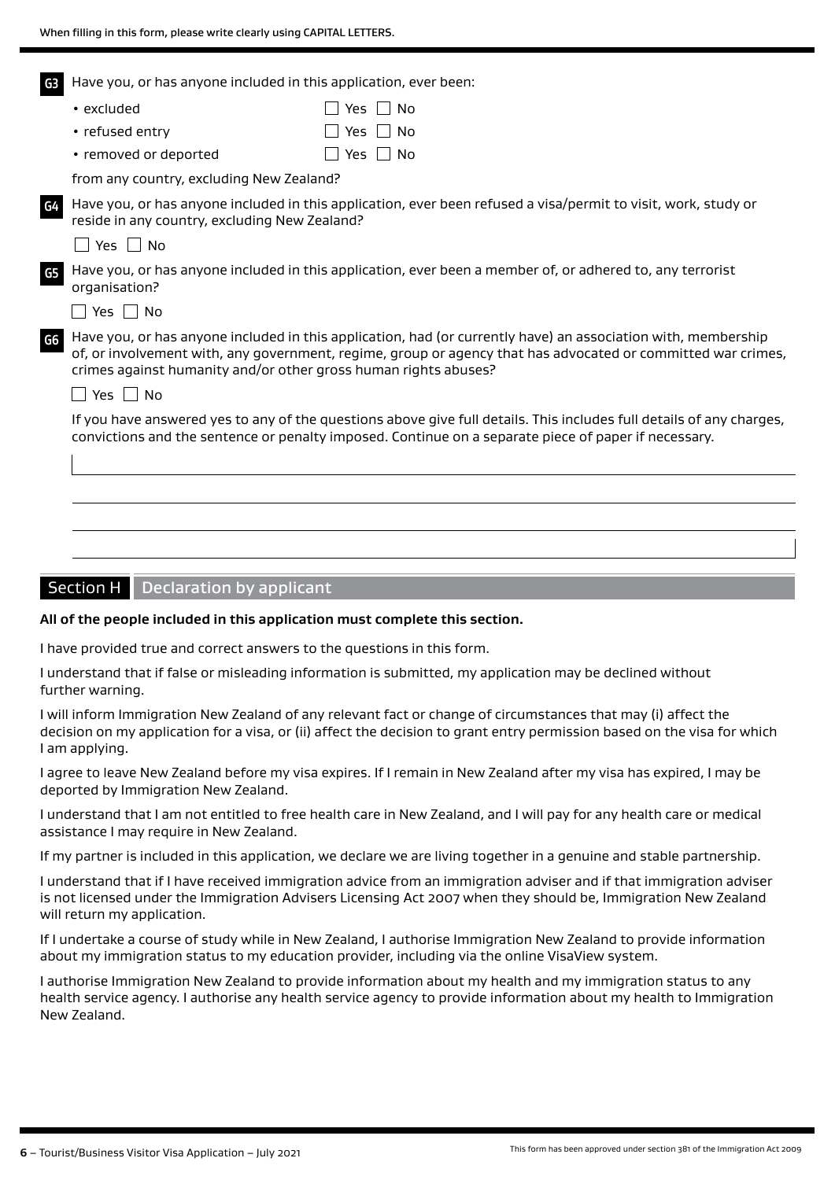Have you, or has anyone included in this application, ever been: **G3**

| $\cdot$ excluded      | $\Box$ Yes $\Box$ No |
|-----------------------|----------------------|
| • refused entry       | $\Box$ Yes $\Box$ No |
| • removed or deported | $\Box$ Yes $\Box$ No |

from any country, excluding New Zealand?

Have you, or has anyone included in this application, ever been refused a visa/permit to visit, work, study or reside in any country, excluding New Zealand?

 $\Box$  Yes  $\Box$  No

**G4**

**G5**

Have you, or has anyone included in this application, ever been a member of, or adhered to, any terrorist organisation?

 $\Box$  Yes  $\Box$  No

Have you, or has anyone included in this application, had (or currently have) an association with, membership of, or involvement with, any government, regime, group or agency that has advocated or committed war crimes, crimes against humanity and/or other gross human rights abuses? **G6**

 $\Box$  Yes  $\Box$  No

If you have answered yes to any of the questions above give full details. This includes full details of any charges, convictions and the sentence or penalty imposed. Continue on a separate piece of paper if necessary.

#### Section H  $\vert$  Declaration by applicant

#### **All of the people included in this application must complete this section.**

I have provided true and correct answers to the questions in this form.

I understand that if false or misleading information is submitted, my application may be declined without further warning.

I will inform Immigration New Zealand of any relevant fact or change of circumstances that may (i) affect the decision on my application for a visa, or (ii) affect the decision to grant entry permission based on the visa for which I am applying.

I agree to leave New Zealand before my visa expires. If I remain in New Zealand after my visa has expired, I may be deported by Immigration New Zealand.

I understand that I am not entitled to free health care in New Zealand, and I will pay for any health care or medical assistance I may require in New Zealand.

If my partner is included in this application, we declare we are living together in a genuine and stable partnership.

I understand that if I have received immigration advice from an immigration adviser and if that immigration adviser is not licensed under the Immigration Advisers Licensing Act 2007 when they should be, Immigration New Zealand will return my application.

If I undertake a course of study while in New Zealand, I authorise Immigration New Zealand to provide information about my immigration status to my education provider, including via the online VisaView system.

I authorise Immigration New Zealand to provide information about my health and my immigration status to any health service agency. I authorise any health service agency to provide information about my health to Immigration New Zealand.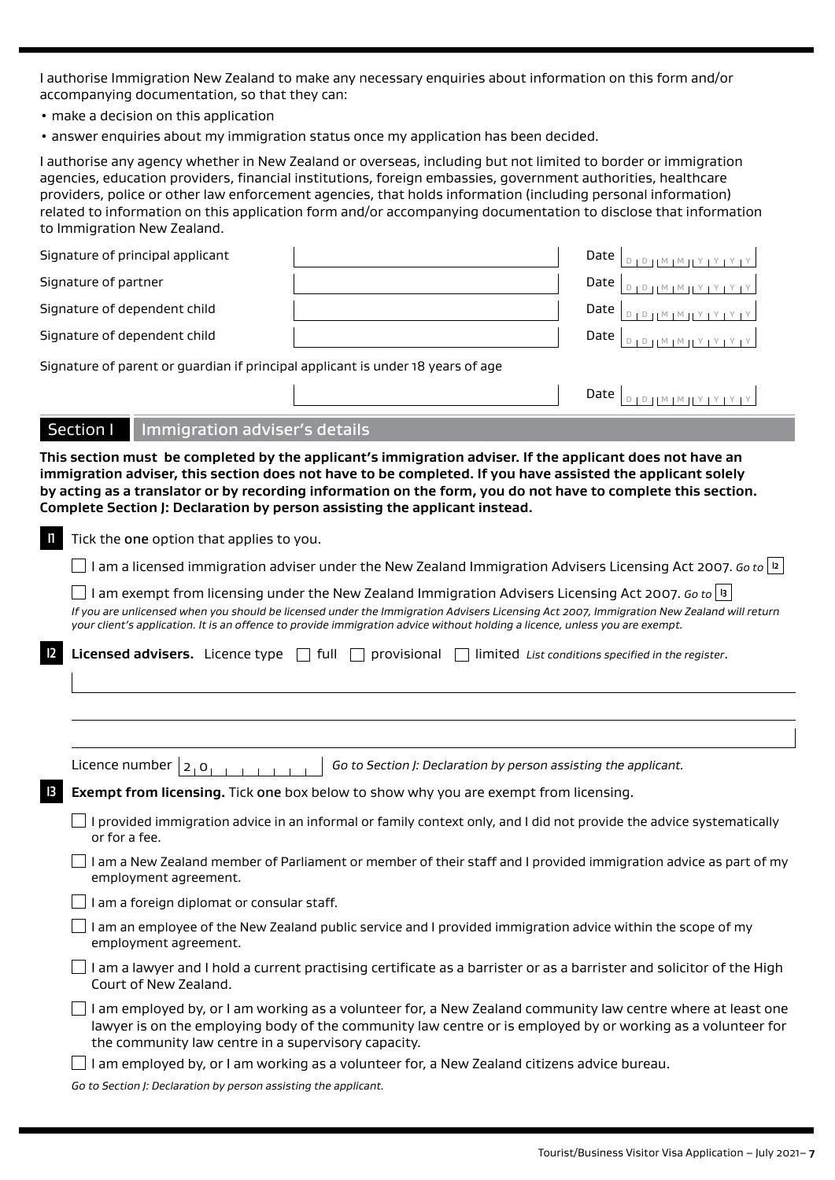I authorise Immigration New Zealand to make any necessary enquiries about information on this form and/or accompanying documentation, so that they can:

- make a decision on this application
- answer enquiries about my immigration status once my application has been decided.

I authorise any agency whether in New Zealand or overseas, including but not limited to border or immigration agencies, education providers, financial institutions, foreign embassies, government authorities, healthcare providers, police or other law enforcement agencies, that holds information (including personal information) related to information on this application form and/or accompanying documentation to disclose that information to Immigration New Zealand.

| Signature of principal applicant                                                | .<br>דין צן צן צן צון ™ד ™ וו<br>Date |
|---------------------------------------------------------------------------------|---------------------------------------|
| Signature of partner                                                            | Date                                  |
| Signature of dependent child                                                    | Date $ $                              |
| Signature of dependent child                                                    | Date                                  |
| Signature of parent or guardian if principal applicant is under 18 years of age |                                       |
|                                                                                 | Date $ $<br>$1011M1M11Y1Y1Y1Y$        |

#### Section I Immigration adviser's details

**This section must be completed by the applicant's immigration adviser. If the applicant does not have an immigration adviser, this section does not have to be completed. If you have assisted the applicant solely by acting as a translator or by recording information on the form, you do not have to complete this section. Complete Section J: Declaration by person assisting the applicant instead.**

**I** Tick the one option that applies to you.

I am a licensed immigration adviser under the New Zealand Immigration Advisers Licensing Act 2007. *Go to* **I2**

I am exempt from licensing under the New Zealand Immigration Advisers Licensing Act 2007. *Go to*  $|3|$ 

*If you are unlicensed when you should be licensed under the Immigration Advisers Licensing Act 2007, Immigration New Zealand will return your client's application. It is an offence to provide immigration advice without holding a licence, unless you are exempt.*

| $\mathbf{\Sigma}$ Licensed advisers. Licence type |  | full $\Box$ provisional $\Box$ |  | l limited List conditions specified in the register. |
|---------------------------------------------------|--|--------------------------------|--|------------------------------------------------------|
|---------------------------------------------------|--|--------------------------------|--|------------------------------------------------------|

|    | Licence number $ 2, 0 $<br>Go to Section J: Declaration by person assisting the applicant.                                                                                                                                                                                        |
|----|-----------------------------------------------------------------------------------------------------------------------------------------------------------------------------------------------------------------------------------------------------------------------------------|
| IЗ | <b>Exempt from licensing.</b> Tick one box below to show why you are exempt from licensing.                                                                                                                                                                                       |
|    | I provided immigration advice in an informal or family context only, and I did not provide the advice systematically<br>or for a fee.                                                                                                                                             |
|    | I am a New Zealand member of Parliament or member of their staff and I provided immigration advice as part of my<br>employment agreement.                                                                                                                                         |
|    | am a foreign diplomat or consular staff.                                                                                                                                                                                                                                          |
|    | I am an employee of the New Zealand public service and I provided immigration advice within the scope of my<br>employment agreement.                                                                                                                                              |
|    | I am a lawyer and I hold a current practising certificate as a barrister or as a barrister and solicitor of the High<br>Court of New Zealand.                                                                                                                                     |
|    | I am employed by, or I am working as a volunteer for, a New Zealand community law centre where at least one<br>lawyer is on the employing body of the community law centre or is employed by or working as a volunteer for<br>the community law centre in a supervisory capacity. |
|    | am employed by, or I am working as a volunteer for, a New Zealand citizens advice bureau.                                                                                                                                                                                         |
|    |                                                                                                                                                                                                                                                                                   |

*Go to Section J: Declaration by person assisting the applicant.*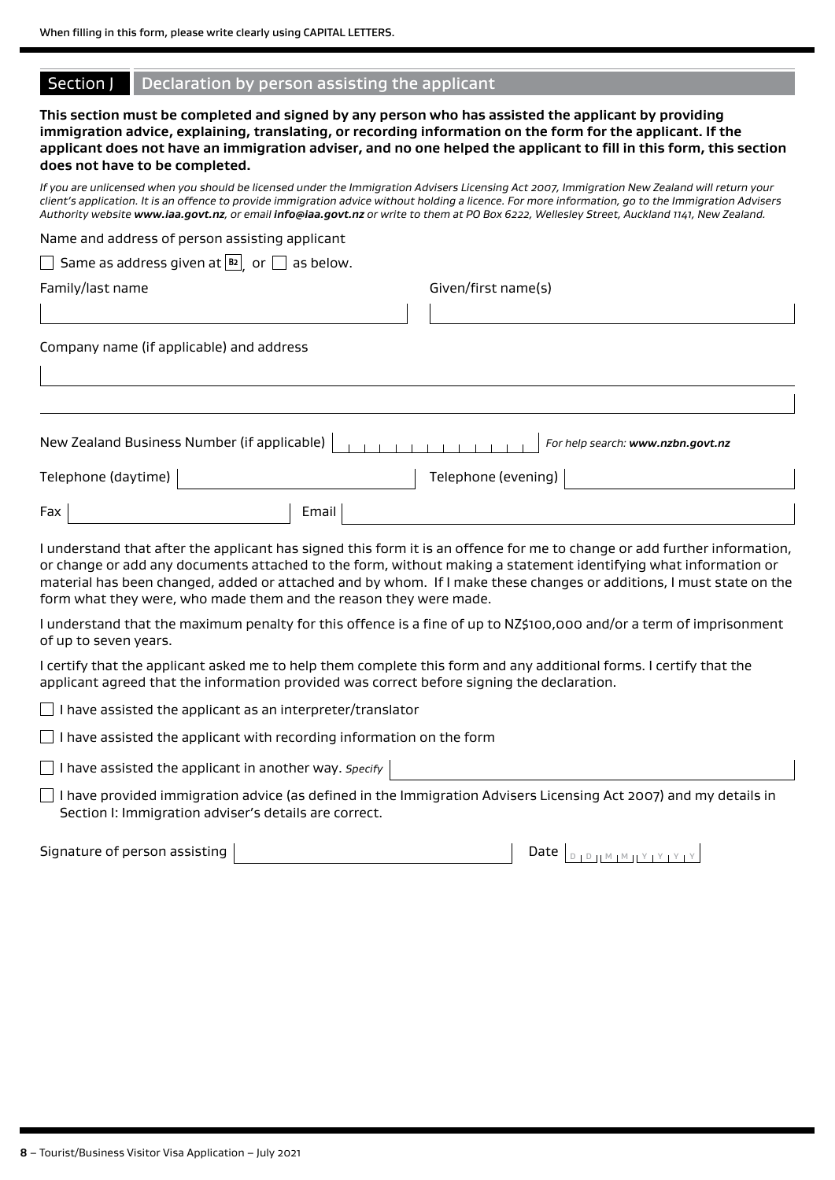|  | Section J Declaration by person assisting the applicant |  |  |  |
|--|---------------------------------------------------------|--|--|--|
|--|---------------------------------------------------------|--|--|--|

#### **This section must be completed and signed by any person who has assisted the applicant by providing immigration advice, explaining, translating, or recording information on the form for the applicant. If the applicant does not have an immigration adviser, and no one helped the applicant to fill in this form, this section does not have to be completed.**

*If you are unlicensed when you should be licensed under the Immigration Advisers Licensing Act 2007, Immigration New Zealand will return your client's application. It is an offence to provide immigration advice without holding a licence. For more information, go to the Immigration Advisers Authority website [www.iaa.govt.nz](https://www.immigration.govt.nzwww.iaa.govt.nz), or email [info@iaa.govt.nz](mailto:info@iaa.govt.nz) or write to them at PO Box 6222, Wellesley Street, Auckland 1141, New Zealand.*

| Name and address of person assisting applicant                   |                                   |
|------------------------------------------------------------------|-----------------------------------|
| $\Box$ Same as address given at $\boxed{B2}$ or $\Box$ as below. |                                   |
| Family/last name                                                 | Given/first name(s)               |
|                                                                  |                                   |
| Company name (if applicable) and address                         |                                   |
|                                                                  |                                   |
| New Zealand Business Number (if applicable)                      | For help search: www.nzbn.govt.nz |
| Telephone (daytime)                                              | Telephone (evening)               |
| Email<br>Fax                                                     |                                   |

I understand that after the applicant has signed this form it is an offence for me to change or add further information, or change or add any documents attached to the form, without making a statement identifying what information or material has been changed, added or attached and by whom. If I make these changes or additions, I must state on the form what they were, who made them and the reason they were made.

I understand that the maximum penalty for this offence is a fine of up to NZ\$100,000 and/or a term of imprisonment of up to seven years.

I certify that the applicant asked me to help them complete this form and any additional forms. I certify that the applicant agreed that the information provided was correct before signing the declaration.

 $\Box$  I have assisted the applicant as an interpreter/translator

 $\Box$  I have assisted the applicant with recording information on the form

I have assisted the applicant in another way. *Specify*

 $\Box$  I have provided immigration advice (as defined in the Immigration Advisers Licensing Act 2007) and my details in Section I: Immigration adviser's details are correct.

Date  $\vert_{\text{D}}$  person  $\vert$   $\text{M}$  M  $\vert$   $\text{M}$  Y  $\vert$  Y  $\vert$  Y  $\vert$  Y  $\vert$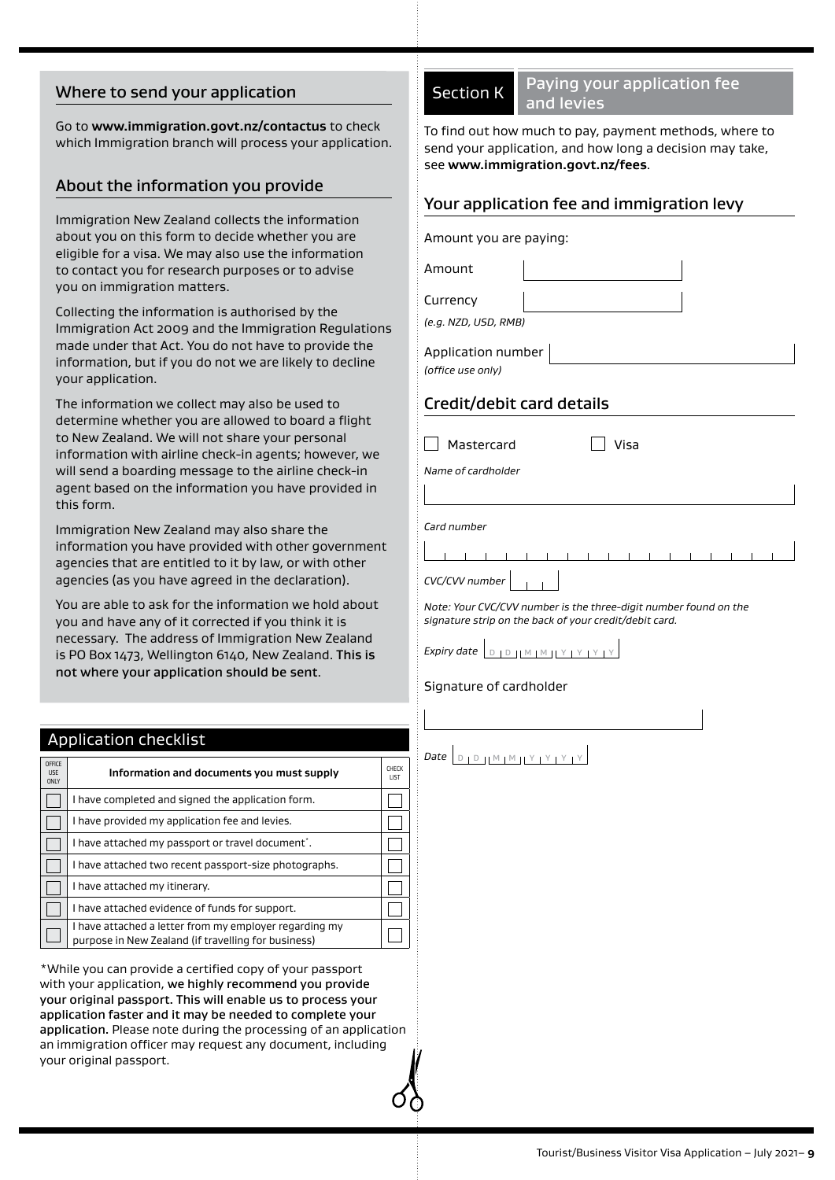### Where to send your application

Go to **[www.immigration.govt.nz/contactus](https://www.immigration.govt.nzwww.immigration.govt.nz/contactus)** to check which Immigration branch will process your application.

#### About the information you provide

Immigration New Zealand collects the information about you on this form to decide whether you are eligible for a visa. We may also use the information to contact you for research purposes or to advise you on immigration matters.

Collecting the information is authorised by the Immigration Act 2009 and the Immigration Regulatio made under that Act. You do not have to provide the information, but if you do not we are likely to decline your application.

The information we collect may also be used to determine whether you are allowed to board a flight to New Zealand. We will not share your personal information with airline check-in agents; however, we will send a boarding message to the airline check-in agent based on the information you have provided in this form.

Immigration New Zealand may also share the information you have provided with other governmer agencies that are entitled to it by law, or with other agencies (as you have agreed in the declaration).

You are able to ask for the information we hold about you and have any of it corrected if you think it is necessary. The address of Immigration New Zealand is PO Box 1473, Wellington 6140, New Zealand. This is not where your application should be sent.

#### Application checklist

| <b>OFFICE</b><br><b>LISE</b><br><b>ONLY</b> | Information and documents you must supply                                                                     | CHECK<br><b>IIST</b> |
|---------------------------------------------|---------------------------------------------------------------------------------------------------------------|----------------------|
|                                             | I have completed and signed the application form.                                                             |                      |
|                                             | I have provided my application fee and levies.                                                                |                      |
|                                             | I have attached my passport or travel document.                                                               |                      |
|                                             | I have attached two recent passport-size photographs.                                                         |                      |
|                                             | I have attached my itinerary.                                                                                 |                      |
|                                             | I have attached evidence of funds for support.                                                                |                      |
|                                             | I have attached a letter from my employer regarding my<br>purpose in New Zealand (if travelling for business) |                      |

\*While you can provide a certified copy of your passport with your application, we highly recommend you provide your original passport. This will enable us to process your application faster and it may be needed to complete your application. Please note during the processing of an application an immigration officer may request any document, including your original passport.

Section K Paying your application fee and levies

To find out how much to pay, payment methods, where to send your application, and how long a decision may take, see **www.immigration.govt.nz/fees**.

#### Your application fee and immigration levy

|    | Amount you are paying:                                                                                                     |
|----|----------------------------------------------------------------------------------------------------------------------------|
|    | Amount                                                                                                                     |
|    | Currency<br>(e.g. NZD, USD, RMB)                                                                                           |
| ns | Application number<br>(office use only)                                                                                    |
|    | Credit/debit card details                                                                                                  |
|    | Mastercard<br>Visa                                                                                                         |
|    | Name of cardholder                                                                                                         |
|    | Card number                                                                                                                |
| ٦t |                                                                                                                            |
|    | CVC/CVV number                                                                                                             |
|    | Note: Your CVC/CVV number is the three-digit number found on the<br>signature strip on the back of your credit/debit card. |
|    | $D_1 D_1 M_1 M_1 Y_1 Y_1 Y_1 Y_2$<br>Expiry date                                                                           |
|    | Signature of cardholder                                                                                                    |
|    |                                                                                                                            |

# *Date*  $D_1D_1M_1M_1Y_1Y_1Y_1Y_2$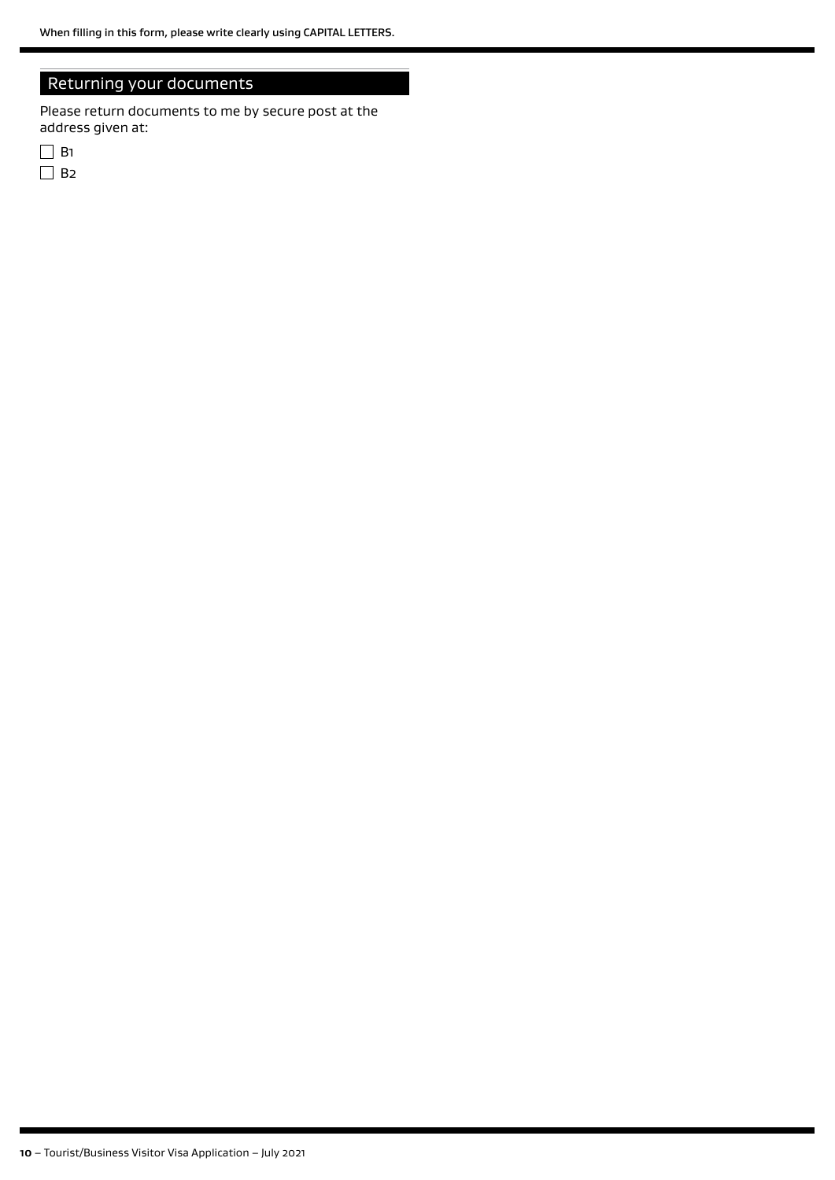## Returning your documents

Please return documents to me by secure post at the address given at: